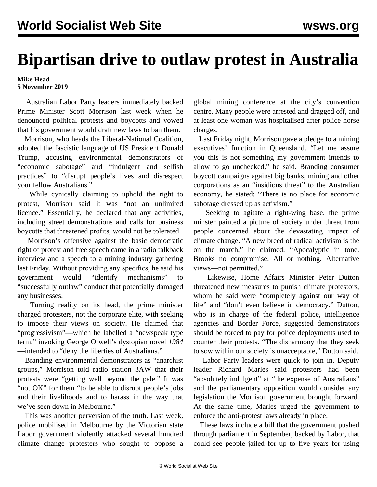## **Bipartisan drive to outlaw protest in Australia**

## **Mike Head 5 November 2019**

 Australian Labor Party leaders immediately backed Prime Minister Scott Morrison last week when he denounced political protests and boycotts and vowed that his government would draft new laws to ban them.

 Morrison, who heads the Liberal-National Coalition, adopted the fascistic language of US President Donald Trump, accusing environmental demonstrators of "economic sabotage" and "indulgent and selfish practices" to "disrupt people's lives and disrespect your fellow Australians."

 While cynically claiming to uphold the right to protest, Morrison said it was "not an unlimited licence." Essentially, he declared that any activities, including street demonstrations and calls for business boycotts that threatened profits, would not be tolerated.

 Morrison's offensive against the basic democratic right of protest and free speech came in a radio talkback interview and a speech to a mining industry gathering last Friday. Without providing any specifics, he said his government would "identify mechanisms" to "successfully outlaw" conduct that potentially damaged any businesses.

 Turning reality on its head, the prime minister charged protesters, not the corporate elite, with seeking to impose their views on society. He claimed that "progressivism"—which he labelled a "newspeak type term," invoking George Orwell's dystopian novel *1984* —intended to "deny the liberties of Australians."

 Branding environmental demonstrators as "anarchist groups," Morrison told radio station 3AW that their protests were "getting well beyond the pale." It was "not OK" for them "to be able to disrupt people's jobs and their livelihoods and to harass in the way that we've seen down in Melbourne."

 This was another perversion of the truth. Last week, police mobilised in Melbourne by the Victorian state Labor government [violently attacked](/en/articles/2019/10/31/imrc-o31.html) several hundred climate change protesters who sought to oppose a

global mining conference at the city's convention centre. Many people were arrested and dragged off, and at least one woman was hospitalised after police horse charges.

 Last Friday night, Morrison gave a pledge to a mining executives' function in Queensland. "Let me assure you this is not something my government intends to allow to go unchecked," he said. Branding consumer boycott campaigns against big banks, mining and other corporations as an "insidious threat" to the Australian economy, he stated: "There is no place for economic sabotage dressed up as activism."

 Seeking to agitate a right-wing base, the prime minster painted a picture of society under threat from people concerned about the devastating impact of climate change. "A new breed of radical activism is the on the march," he claimed. "Apocalyptic in tone. Brooks no compromise. All or nothing. Alternative views—not permitted."

 Likewise, Home Affairs Minister Peter Dutton threatened new measures to punish climate protestors, whom he said were "completely against our way of life" and "don't even believe in democracy." Dutton, who is in charge of the federal police, intelligence agencies and Border Force, suggested demonstrators should be forced to pay for police deployments used to counter their protests. "The disharmony that they seek to sow within our society is unacceptable," Dutton said.

 Labor Party leaders were quick to join in. Deputy leader Richard Marles said protesters had been "absolutely indulgent" at "the expense of Australians" and the parliamentary opposition would consider any legislation the Morrison government brought forward. At the same time, Marles urged the government to enforce the anti-protest laws already in place.

 These laws include a [bill](/en/articles/2019/07/24/poli-j24.html) that the government pushed through parliament in September, backed by Labor, that could see people jailed for up to five years for using